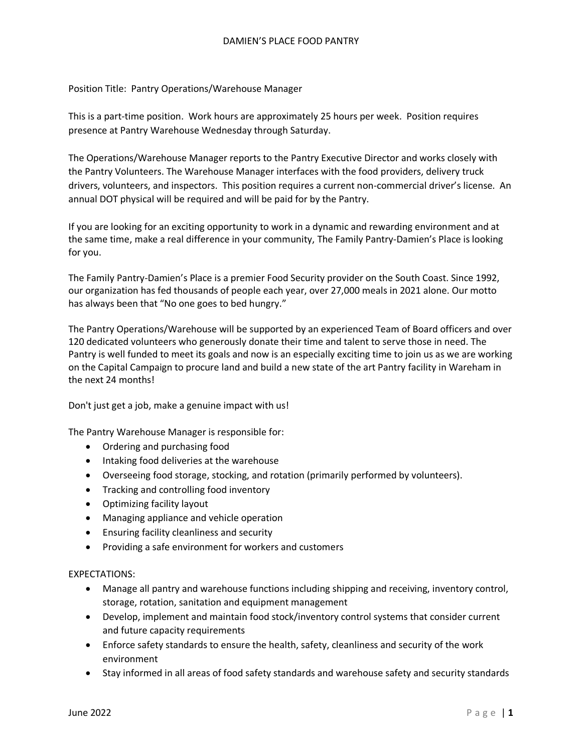## DAMIEN'S PLACE FOOD PANTRY

## Position Title: Pantry Operations/Warehouse Manager

This is a part-time position. Work hours are approximately 25 hours per week. Position requires presence at Pantry Warehouse Wednesday through Saturday.

The Operations/Warehouse Manager reports to the Pantry Executive Director and works closely with the Pantry Volunteers. The Warehouse Manager interfaces with the food providers, delivery truck drivers, volunteers, and inspectors. This position requires a current non-commercial driver's license. An annual DOT physical will be required and will be paid for by the Pantry.

If you are looking for an exciting opportunity to work in a dynamic and rewarding environment and at the same time, make a real difference in your community, The Family Pantry-Damien's Place is looking for you.

The Family Pantry-Damien's Place is a premier Food Security provider on the South Coast. Since 1992, our organization has fed thousands of people each year, over 27,000 meals in 2021 alone. Our motto has always been that "No one goes to bed hungry."

The Pantry Operations/Warehouse will be supported by an experienced Team of Board officers and over 120 dedicated volunteers who generously donate their time and talent to serve those in need. The Pantry is well funded to meet its goals and now is an especially exciting time to join us as we are working on the Capital Campaign to procure land and build a new state of the art Pantry facility in Wareham in the next 24 months!

Don't just get a job, make a genuine impact with us!

The Pantry Warehouse Manager is responsible for:

- Ordering and purchasing food
- Intaking food deliveries at the warehouse
- Overseeing food storage, stocking, and rotation (primarily performed by volunteers).
- Tracking and controlling food inventory
- Optimizing facility layout
- Managing appliance and vehicle operation
- Ensuring facility cleanliness and security
- Providing a safe environment for workers and customers

## EXPECTATIONS:

- Manage all pantry and warehouse functions including shipping and receiving, inventory control, storage, rotation, sanitation and equipment management
- Develop, implement and maintain food stock/inventory control systems that consider current and future capacity requirements
- Enforce safety standards to ensure the health, safety, cleanliness and security of the work environment
- Stay informed in all areas of food safety standards and warehouse safety and security standards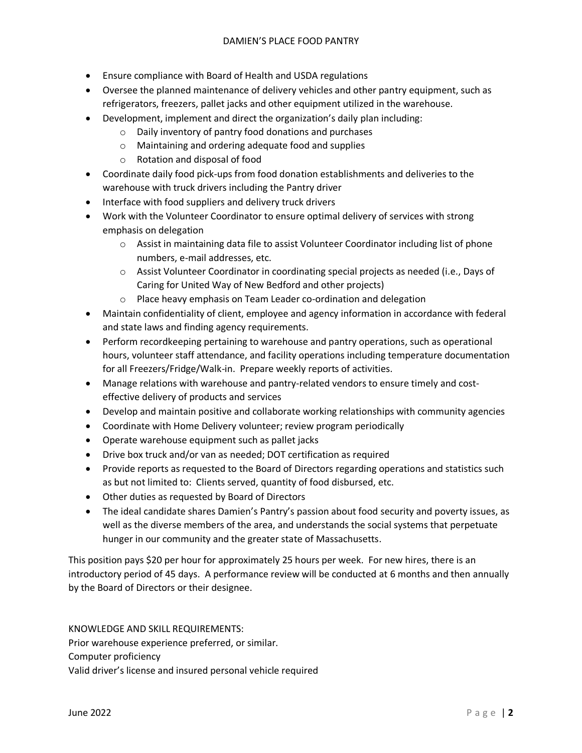- Ensure compliance with Board of Health and USDA regulations
- Oversee the planned maintenance of delivery vehicles and other pantry equipment, such as refrigerators, freezers, pallet jacks and other equipment utilized in the warehouse.
- Development, implement and direct the organization's daily plan including:
	- o Daily inventory of pantry food donations and purchases
	- o Maintaining and ordering adequate food and supplies
	- o Rotation and disposal of food
- Coordinate daily food pick-ups from food donation establishments and deliveries to the warehouse with truck drivers including the Pantry driver
- Interface with food suppliers and delivery truck drivers
- Work with the Volunteer Coordinator to ensure optimal delivery of services with strong emphasis on delegation
	- o Assist in maintaining data file to assist Volunteer Coordinator including list of phone numbers, e-mail addresses, etc.
	- $\circ$  Assist Volunteer Coordinator in coordinating special projects as needed (i.e., Days of Caring for United Way of New Bedford and other projects)
	- o Place heavy emphasis on Team Leader co-ordination and delegation
- Maintain confidentiality of client, employee and agency information in accordance with federal and state laws and finding agency requirements.
- Perform recordkeeping pertaining to warehouse and pantry operations, such as operational hours, volunteer staff attendance, and facility operations including temperature documentation for all Freezers/Fridge/Walk-in. Prepare weekly reports of activities.
- Manage relations with warehouse and pantry-related vendors to ensure timely and costeffective delivery of products and services
- Develop and maintain positive and collaborate working relationships with community agencies
- Coordinate with Home Delivery volunteer; review program periodically
- Operate warehouse equipment such as pallet jacks
- Drive box truck and/or van as needed; DOT certification as required
- Provide reports as requested to the Board of Directors regarding operations and statistics such as but not limited to: Clients served, quantity of food disbursed, etc.
- Other duties as requested by Board of Directors
- The ideal candidate shares Damien's Pantry's passion about food security and poverty issues, as well as the diverse members of the area, and understands the social systems that perpetuate hunger in our community and the greater state of Massachusetts.

This position pays \$20 per hour for approximately 25 hours per week. For new hires, there is an introductory period of 45 days. A performance review will be conducted at 6 months and then annually by the Board of Directors or their designee.

KNOWLEDGE AND SKILL REQUIREMENTS: Prior warehouse experience preferred, or similar. Computer proficiency Valid driver's license and insured personal vehicle required